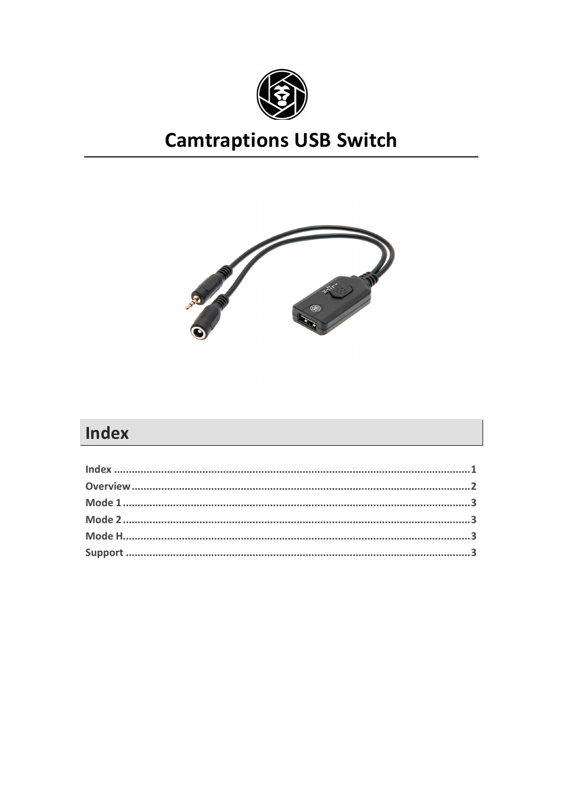

# **Camtraptions USB Switch**



# Index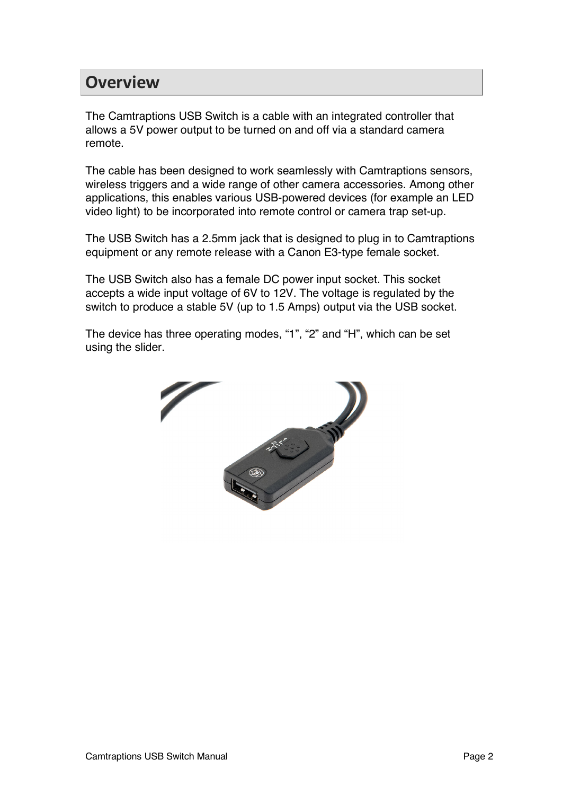#### **Overview**

The Camtraptions USB Switch is a cable with an integrated controller that allows a 5V power output to be turned on and off via a standard camera remote.

The cable has been designed to work seamlessly with Camtraptions sensors, wireless triggers and a wide range of other camera accessories. Among other applications, this enables various USB-powered devices (for example an LED video light) to be incorporated into remote control or camera trap set-up.

The USB Switch has a 2.5mm jack that is designed to plug in to Camtraptions equipment or any remote release with a Canon E3-type female socket.

The USB Switch also has a female DC power input socket. This socket accepts a wide input voltage of 6V to 12V. The voltage is regulated by the switch to produce a stable 5V (up to 1.5 Amps) output via the USB socket.

The device has three operating modes, "1", "2" and "H", which can be set using the slider.